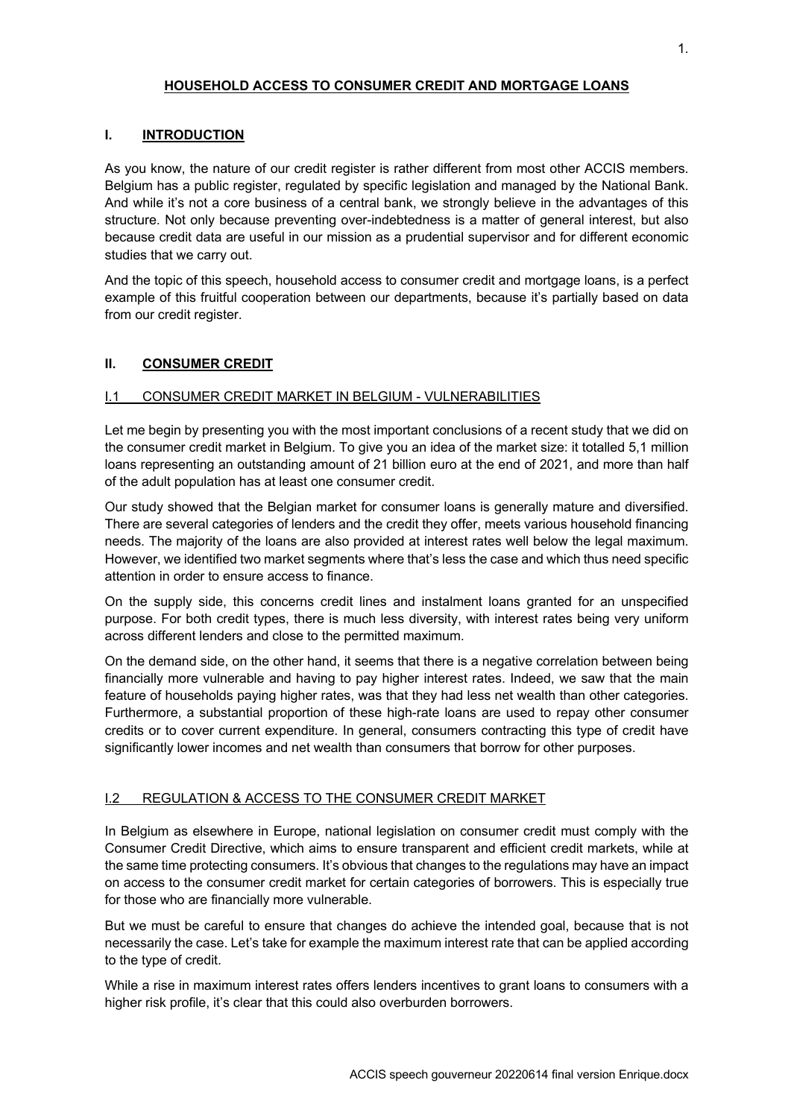### **HOUSEHOLD ACCESS TO CONSUMER CREDIT AND MORTGAGE LOANS**

#### **I. INTRODUCTION**

As you know, the nature of our credit register is rather different from most other ACCIS members. Belgium has a public register, regulated by specific legislation and managed by the National Bank. And while it's not a core business of a central bank, we strongly believe in the advantages of this structure. Not only because preventing over-indebtedness is a matter of general interest, but also because credit data are useful in our mission as a prudential supervisor and for different economic studies that we carry out.

And the topic of this speech, household access to consumer credit and mortgage loans, is a perfect example of this fruitful cooperation between our departments, because it's partially based on data from our credit register.

### **II. CONSUMER CREDIT**

### I.1 CONSUMER CREDIT MARKET IN BELGIUM - VULNERABILITIES

Let me begin by presenting you with the most important conclusions of a recent study that we did on the consumer credit market in Belgium. To give you an idea of the market size: it totalled 5,1 million loans representing an outstanding amount of 21 billion euro at the end of 2021, and more than half of the adult population has at least one consumer credit.

Our study showed that the Belgian market for consumer loans is generally mature and diversified. There are several categories of lenders and the credit they offer, meets various household financing needs. The majority of the loans are also provided at interest rates well below the legal maximum. However, we identified two market segments where that's less the case and which thus need specific attention in order to ensure access to finance.

On the supply side, this concerns credit lines and instalment loans granted for an unspecified purpose. For both credit types, there is much less diversity, with interest rates being very uniform across different lenders and close to the permitted maximum.

On the demand side, on the other hand, it seems that there is a negative correlation between being financially more vulnerable and having to pay higher interest rates. Indeed, we saw that the main feature of households paying higher rates, was that they had less net wealth than other categories. Furthermore, a substantial proportion of these high-rate loans are used to repay other consumer credits or to cover current expenditure. In general, consumers contracting this type of credit have significantly lower incomes and net wealth than consumers that borrow for other purposes.

# I.2 REGULATION & ACCESS TO THE CONSUMER CREDIT MARKET

In Belgium as elsewhere in Europe, national legislation on consumer credit must comply with the Consumer Credit Directive, which aims to ensure transparent and efficient credit markets, while at the same time protecting consumers. It's obvious that changes to the regulations may have an impact on access to the consumer credit market for certain categories of borrowers. This is especially true for those who are financially more vulnerable.

But we must be careful to ensure that changes do achieve the intended goal, because that is not necessarily the case. Let's take for example the maximum interest rate that can be applied according to the type of credit.

While a rise in maximum interest rates offers lenders incentives to grant loans to consumers with a higher risk profile, it's clear that this could also overburden borrowers.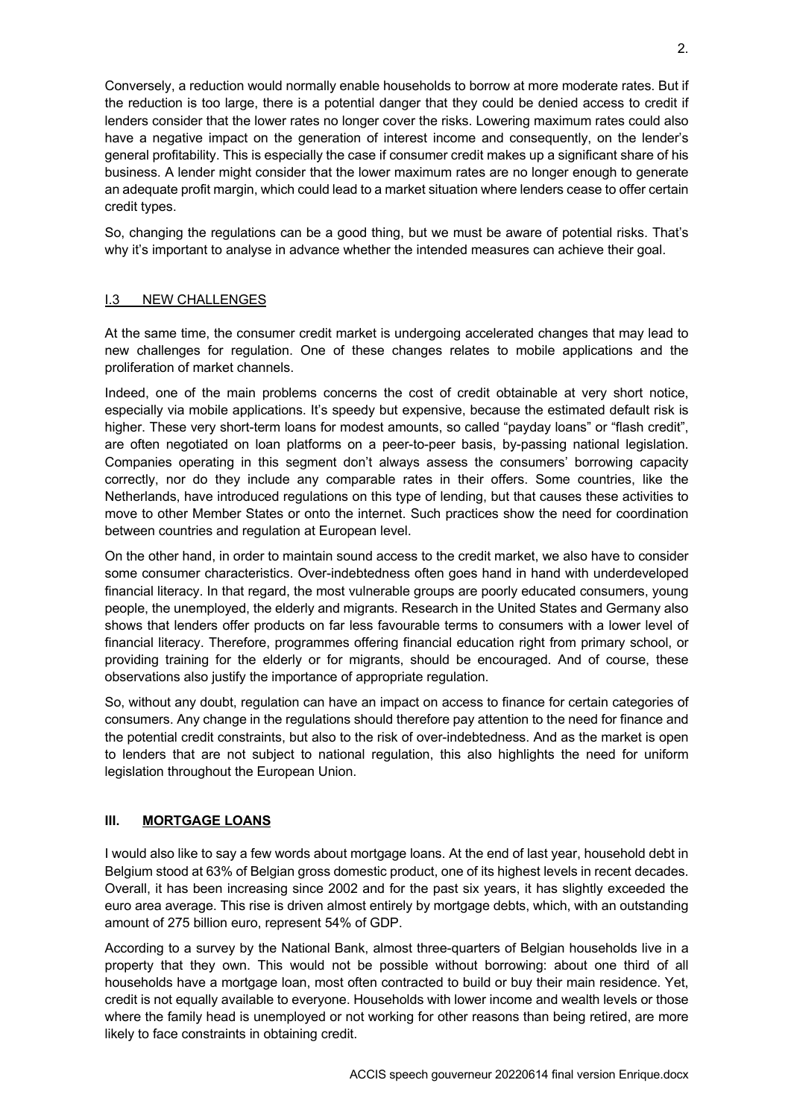Conversely, a reduction would normally enable households to borrow at more moderate rates. But if the reduction is too large, there is a potential danger that they could be denied access to credit if lenders consider that the lower rates no longer cover the risks. Lowering maximum rates could also have a negative impact on the generation of interest income and consequently, on the lender's general profitability. This is especially the case if consumer credit makes up a significant share of his business. A lender might consider that the lower maximum rates are no longer enough to generate an adequate profit margin, which could lead to a market situation where lenders cease to offer certain credit types.

So, changing the regulations can be a good thing, but we must be aware of potential risks. That's why it's important to analyse in advance whether the intended measures can achieve their goal.

#### I.3 NEW CHALLENGES

At the same time, the consumer credit market is undergoing accelerated changes that may lead to new challenges for regulation. One of these changes relates to mobile applications and the proliferation of market channels.

Indeed, one of the main problems concerns the cost of credit obtainable at very short notice, especially via mobile applications. It's speedy but expensive, because the estimated default risk is higher. These very short-term loans for modest amounts, so called "payday loans" or "flash credit", are often negotiated on loan platforms on a peer-to-peer basis, by-passing national legislation. Companies operating in this segment don't always assess the consumers' borrowing capacity correctly, nor do they include any comparable rates in their offers. Some countries, like the Netherlands, have introduced regulations on this type of lending, but that causes these activities to move to other Member States or onto the internet. Such practices show the need for coordination between countries and regulation at European level.

On the other hand, in order to maintain sound access to the credit market, we also have to consider some consumer characteristics. Over-indebtedness often goes hand in hand with underdeveloped financial literacy. In that regard, the most vulnerable groups are poorly educated consumers, young people, the unemployed, the elderly and migrants. Research in the United States and Germany also shows that lenders offer products on far less favourable terms to consumers with a lower level of financial literacy. Therefore, programmes offering financial education right from primary school, or providing training for the elderly or for migrants, should be encouraged. And of course, these observations also justify the importance of appropriate regulation.

So, without any doubt, regulation can have an impact on access to finance for certain categories of consumers. Any change in the regulations should therefore pay attention to the need for finance and the potential credit constraints, but also to the risk of over-indebtedness. And as the market is open to lenders that are not subject to national regulation, this also highlights the need for uniform legislation throughout the European Union.

# **III. MORTGAGE LOANS**

I would also like to say a few words about mortgage loans. At the end of last year, household debt in Belgium stood at 63% of Belgian gross domestic product, one of its highest levels in recent decades. Overall, it has been increasing since 2002 and for the past six years, it has slightly exceeded the euro area average. This rise is driven almost entirely by mortgage debts, which, with an outstanding amount of 275 billion euro, represent 54% of GDP.

According to a survey by the National Bank, almost three-quarters of Belgian households live in a property that they own. This would not be possible without borrowing: about one third of all households have a mortgage loan, most often contracted to build or buy their main residence. Yet, credit is not equally available to everyone. Households with lower income and wealth levels or those where the family head is unemployed or not working for other reasons than being retired, are more likely to face constraints in obtaining credit.